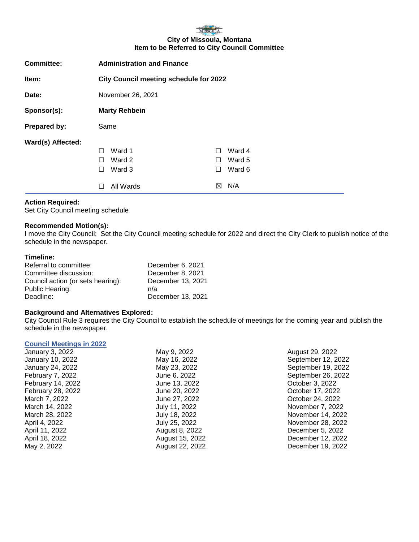

#### **City of Missoula, Montana Item to be Referred to City Council Committee**

| <b>Committee:</b> | <b>Administration and Finance</b>                           |                                    |                                   |
|-------------------|-------------------------------------------------------------|------------------------------------|-----------------------------------|
| Item:             | <b>City Council meeting schedule for 2022</b>               |                                    |                                   |
| Date:             | November 26, 2021                                           |                                    |                                   |
| Sponsor(s):       | <b>Marty Rehbein</b>                                        |                                    |                                   |
| Prepared by:      | Same                                                        |                                    |                                   |
| Ward(s) Affected: | Ward 1<br>П<br>Ward 2<br>П<br>Ward 3<br>П<br>All Wards<br>П | $\perp$<br>$\perp$<br>$\perp$<br>⊠ | Ward 4<br>Ward 5<br>Ward 6<br>N/A |

## **Action Required:**

Set City Council meeting schedule

#### **Recommended Motion(s):**

I move the City Council: Set the City Council meeting schedule for 2022 and direct the City Clerk to publish notice of the schedule in the newspaper.

#### **Timeline:**

| Referral to committee:            | December 6, 2021  |
|-----------------------------------|-------------------|
| Committee discussion:             | December 8, 2021  |
| Council action (or sets hearing): | December 13, 2021 |
| Public Hearing:                   | n/a               |
| Deadline:                         | December 13, 2021 |
|                                   |                   |

## **Background and Alternatives Explored:**

City Council Rule 3 requires the City Council to establish the schedule of meetings for the coming year and publish the schedule in the newspaper.

## **Council Meetings in 2022**

| January 3, 2022   | May 9, 2022     | August 29, 2022    |
|-------------------|-----------------|--------------------|
| January 10, 2022  | May 16, 2022    | September 12, 2022 |
| January 24, 2022  | May 23, 2022    | September 19, 2022 |
| February 7, 2022  | June 6, 2022    | September 26, 2022 |
| February 14, 2022 | June 13, 2022   | October 3, 2022    |
| February 28, 2022 | June 20, 2022   | October 17, 2022   |
| March 7, 2022     | June 27, 2022   | October 24, 2022   |
| March 14, 2022    | July 11, 2022   | November 7, 2022   |
| March 28, 2022    | July 18, 2022   | November 14, 2022  |
| April 4, 2022     | July 25, 2022   | November 28, 2022  |
| April 11, 2022    | August 8, 2022  | December 5, 2022   |
| April 18, 2022    | August 15, 2022 | December 12, 2022  |
| May 2, 2022       | August 22, 2022 | December 19, 2022  |
|                   |                 |                    |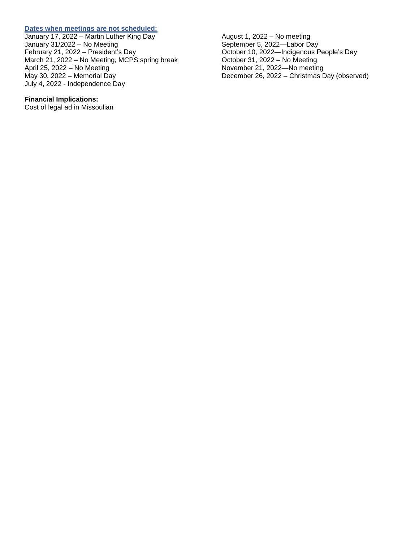#### **Dates when meetings are not scheduled:**

January 17, 2022 – Martin Luther King Day January 31/2022 – No Meeting February 21, 2022 – President's Day March 21, 2022 – No Meeting, MCPS spring break April 25, 2022 – No Meeting May 30, 2022 – Memorial Day July 4, 2022 - Independence Day

# **Financial Implications:**

Cost of legal ad in Missoulian

August 1, 2022 – No meeting September 5, 2022—Labor Day October 10, 2022—Indigenous People's Day October 31, 2022 – No Meeting November 21, 2022—No meeting December 26, 2022 – Christmas Day (observed)